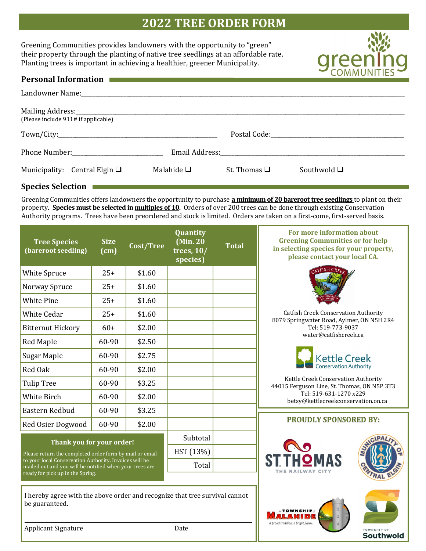## **2022 TREE ORDER FORM**

Greening Communities provides landowners with the opportunity to "green" their property through the planting of native tree seedlings at an affordable rate. Planting trees is important in achieving a healthier, greener Municipality.



Southwold

| <b>Personal Information</b>         | a sa mga kalawang mga kalawang sa mga kalawang sa mga kalawang sa mga kalawang sa mga kalawang sa mga kalawang<br>Mga kalawang sa mga kalawang sa mga kalawang sa mga kalawang sa mga kalawang sa mga kalawang sa mga kalawang s |                   |                  |
|-------------------------------------|----------------------------------------------------------------------------------------------------------------------------------------------------------------------------------------------------------------------------------|-------------------|------------------|
|                                     |                                                                                                                                                                                                                                  |                   |                  |
| (Please include 911# if applicable) |                                                                                                                                                                                                                                  |                   |                  |
|                                     |                                                                                                                                                                                                                                  |                   |                  |
|                                     |                                                                                                                                                                                                                                  |                   |                  |
| Municipality: Central Elgin $\Box$  | Malahide $\Box$                                                                                                                                                                                                                  | St. Thomas $\Box$ | Southwold $\Box$ |

## **Species Selection**

Greening Communities offers landowners the opportunity to purchase **a minimum of 20 bareroot tree seedlings** to plant on their property. **Species must be selected in multiples of 10.** Orders of over 200 trees can be done through existing Conservation Authority programs. Trees have been preordered and stock is limited. Orders are taken on a first-come, first-served basis.

| <b>Tree Species</b><br>(bareroot seedling)                                                                                                                                                                                                    | <b>Size</b><br>(cm) | Cost/Tree | Quantity<br>(Min. 20<br>trees, $10/$<br>species) | <b>Total</b>                  | For more information about<br><b>Greening Communities or for help</b><br>in selecting species for your property,<br>please contact your local CA. |  |
|-----------------------------------------------------------------------------------------------------------------------------------------------------------------------------------------------------------------------------------------------|---------------------|-----------|--------------------------------------------------|-------------------------------|---------------------------------------------------------------------------------------------------------------------------------------------------|--|
| White Spruce                                                                                                                                                                                                                                  | $25+$               | \$1.60    |                                                  |                               |                                                                                                                                                   |  |
| Norway Spruce                                                                                                                                                                                                                                 | $25+$               | \$1.60    |                                                  |                               |                                                                                                                                                   |  |
| <b>White Pine</b>                                                                                                                                                                                                                             | $25+$               | \$1.60    |                                                  |                               |                                                                                                                                                   |  |
| <b>White Cedar</b>                                                                                                                                                                                                                            | $25+$               | \$1.60    |                                                  |                               | <b>Catfish Creek Conservation Authority</b>                                                                                                       |  |
| <b>Bitternut Hickory</b>                                                                                                                                                                                                                      | $60+$               | \$2.00    |                                                  |                               | 8079 Springwater Road, Aylmer, ON N5H 2R4<br>Tel: 519-773-9037                                                                                    |  |
| Red Maple                                                                                                                                                                                                                                     | 60-90               | \$2.50    |                                                  |                               | water@catfishcreek.ca                                                                                                                             |  |
| Sugar Maple                                                                                                                                                                                                                                   | 60-90               | \$2.75    |                                                  |                               | <b>Kettle Creek</b>                                                                                                                               |  |
| Red Oak                                                                                                                                                                                                                                       | 60-90               | \$2.00    |                                                  |                               | <b>Conservation Authority</b>                                                                                                                     |  |
| <b>Tulip Tree</b>                                                                                                                                                                                                                             | 60-90               | \$3.25    |                                                  |                               | Kettle Creek Conservation Authority<br>44015 Ferguson Line, St. Thomas, ON N5P 3T3                                                                |  |
| White Birch                                                                                                                                                                                                                                   | 60-90               | \$2.00    |                                                  |                               | Tel: 519-631-1270 x229<br>betsy@kettlecreekconservation.on.ca                                                                                     |  |
| Eastern Redbud                                                                                                                                                                                                                                | 60-90               | \$3.25    |                                                  |                               |                                                                                                                                                   |  |
| Red Osier Dogwood                                                                                                                                                                                                                             | 60-90               | \$2.00    |                                                  |                               | <b>PROUDLY SPONSORED BY:</b>                                                                                                                      |  |
| Thank you for your order!<br>Please return the completed order form by mail or email<br>to your local Conservation Authority. Invoices will be<br>mailed out and you will be notified when your trees are<br>ready for pick up in the Spring. |                     | Subtotal  |                                                  |                               |                                                                                                                                                   |  |
|                                                                                                                                                                                                                                               |                     | HST (13%) |                                                  | <b>NO</b><br>THE RAILWAY CITY |                                                                                                                                                   |  |
|                                                                                                                                                                                                                                               |                     | Total     |                                                  |                               |                                                                                                                                                   |  |
|                                                                                                                                                                                                                                               |                     |           |                                                  |                               |                                                                                                                                                   |  |
| I hereby agree with the above order and recognize that tree survival cannot<br>be guaranteed.                                                                                                                                                 |                     |           |                                                  |                               | A proud tradition, a bright future.                                                                                                               |  |
| <b>Applicant Signature</b>                                                                                                                                                                                                                    |                     |           | Date                                             |                               |                                                                                                                                                   |  |